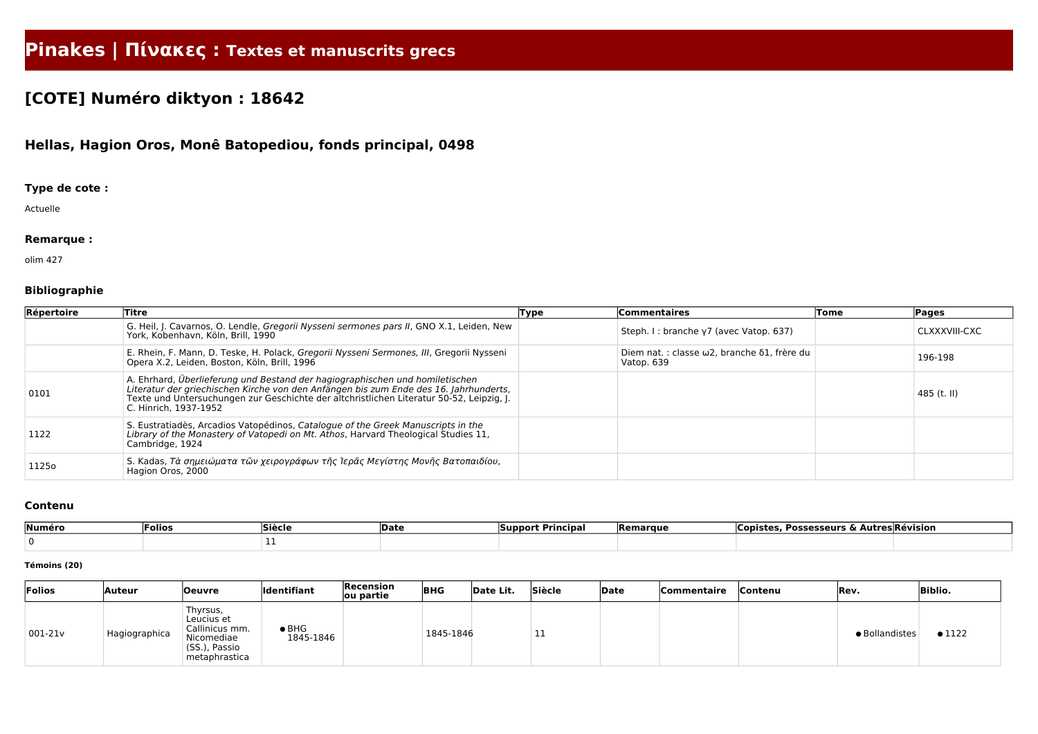# **Pinakes | Πίνακες : Textes et manuscrits grecs**

## **[COTE] Numéro diktyon : 18642**

### **Hellas, Hagion Oros, Monê Batopediou, fonds principal, 0498**

#### **Type de cote :**

Actuelle

#### **Remarque :**

olim 427

#### **Bibliographie**

| Répertoire | Titre                                                                                                                                                                                                                                                                                      | Type | <b>Commentaires</b>                                      | Tome | <b>Pages</b>  |
|------------|--------------------------------------------------------------------------------------------------------------------------------------------------------------------------------------------------------------------------------------------------------------------------------------------|------|----------------------------------------------------------|------|---------------|
|            | G. Heil, J. Cavarnos, O. Lendle, Gregorii Nysseni sermones pars II, GNO X.1, Leiden, New<br>York, Kobenhavn, Köln, Brill, 1990                                                                                                                                                             |      | Steph. I: branche y7 (avec Vatop. 637)                   |      | CLXXXVIII-CXC |
|            | E. Rhein, F. Mann, D. Teske, H. Polack, Gregorii Nysseni Sermones, III, Gregorii Nysseni<br>Opera X.2, Leiden, Boston, Köln, Brill, 1996                                                                                                                                                   |      | Diem nat.: classe ω2, branche δ1, frère du<br>Vatop. 639 |      | 196-198       |
| 0101       | A. Ehrhard, Überlieferung und Bestand der hagiographischen und homiletischen<br>Literatur der griechischen Kirche von den Anfängen bis zum Ende des 16. Jahrhunderts,<br>Texte und Untersuchungen zur Geschichte der altchristlichen Literatur 50-52, Leipzig, J.<br>C. Hinrich, 1937-1952 |      |                                                          |      | $485$ (t. II) |
| 1122       | S. Eustratiadès, Arcadios Vatopédinos, Catalogue of the Greek Manuscripts in the<br>Library of the Monastery of Vatopedi on Mt. Athos, Harvard Theological Studies 11,<br>Cambridge, 1924                                                                                                  |      |                                                          |      |               |
| 1125o      | S. Kadas, Τὰ σημειώματα τῶν χειρογράφων τῆς Ἱερᾶς Μεγίστης Μονῆς Βατοπαιδίου,<br>Hagion Oros, 2000                                                                                                                                                                                         |      |                                                          |      |               |

#### **Contenu**

| Numéro | 'Folios | Sièclo | Date | <b>Principal</b><br><b>Support</b> | <b>IRemarque</b> | <b>Possesseurs</b><br><b>ODICT</b><br>° | <b>Autres Révision</b> |
|--------|---------|--------|------|------------------------------------|------------------|-----------------------------------------|------------------------|
|        |         |        |      |                                    |                  |                                         |                        |

#### **Témoins (20)**

| Folios     | Auteur        | <b>Oeuvre</b>                                                                            | <b>Identifiant</b>         | Recension<br>ou partie | <b>BHG</b> | Date Lit. | Siècle | Date | <b>Commentaire</b> | Contenu | Rev.           | <b>Biblio.</b> |
|------------|---------------|------------------------------------------------------------------------------------------|----------------------------|------------------------|------------|-----------|--------|------|--------------------|---------|----------------|----------------|
| $ 001-21v$ | Hagiographica | Thyrsus,<br>Leucius et<br>Callinicus mm.<br>Nicomediae<br>(SS.), Passio<br>metaphrastica | $\bullet$ BHG<br>1845-1846 |                        | 1845-1846  |           |        |      |                    |         | · Bollandistes | $\bullet$ 1122 |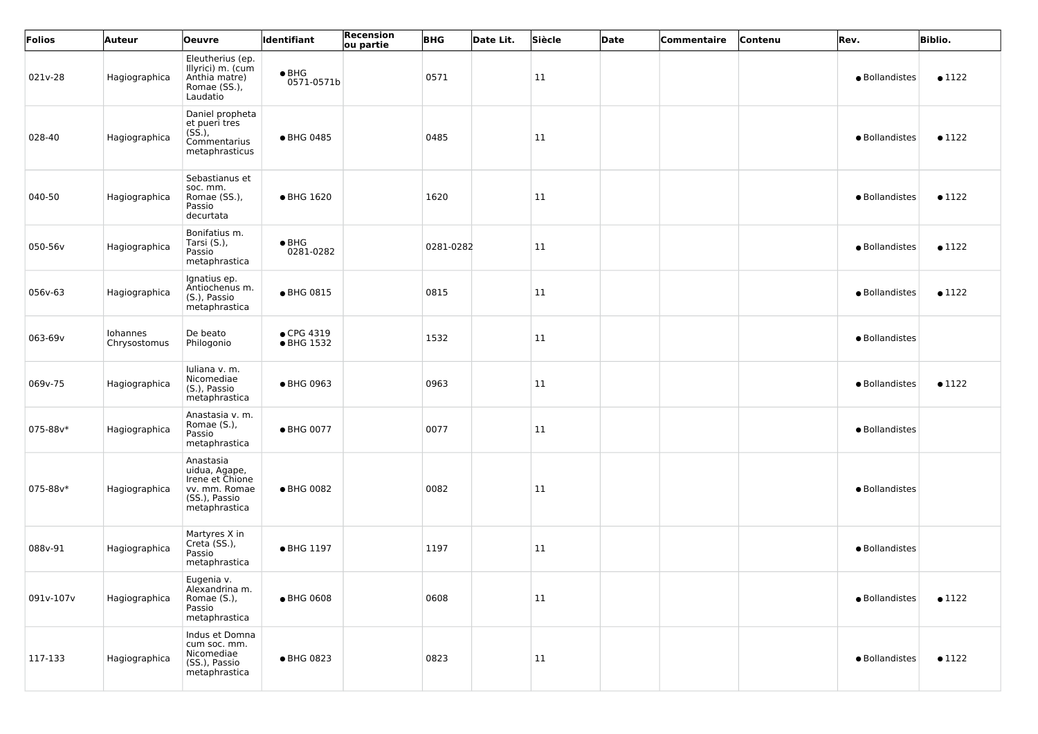| Folios    | Auteur                   | <b>Oeuvre</b>                                                                                    | Identifiant                 | Recension<br>ou partie | <b>BHG</b> | Date Lit. | Siècle | Date | Commentaire | Contenu | Rev.           | <b>Biblio.</b> |
|-----------|--------------------------|--------------------------------------------------------------------------------------------------|-----------------------------|------------------------|------------|-----------|--------|------|-------------|---------|----------------|----------------|
| 021v-28   | Hagiographica            | Eleutherius (ep.<br>Illyrici) m. (cum<br>Anthia matre)<br>Romae (SS.),<br>Laudatio               | $\bullet$ BHG<br>0571-0571b |                        | 0571       |           | 11     |      |             |         | · Bollandistes | $\bullet$ 1122 |
| 028-40    | Hagiographica            | Daniel propheta<br>et pueri tres<br>$(S\dot{S}.),$<br>Commentarius<br>metaphrasticus             | ● BHG 0485                  |                        | 0485       |           | 11     |      |             |         | · Bollandistes | $\bullet$ 1122 |
| 040-50    | Hagiographica            | Sebastianus et<br>soc. mm.<br>Romae (SS.),<br>Passio<br>decurtata                                | • BHG 1620                  |                        | 1620       |           | 11     |      |             |         | · Bollandistes | $\bullet$ 1122 |
| 050-56v   | Hagiographica            | Bonifatius m.<br>Tarsi (S.),<br>Passio<br>metaphrastica                                          | $\bullet$ BHG<br>0281-0282  |                        | 0281-0282  |           | 11     |      |             |         | · Bollandistes | $\bullet$ 1122 |
| 056v-63   | Hagiographica            | Ignatius ep.<br>Antiochenus m.<br>(S.), Passio<br>metaphrastica                                  | ● BHG 0815                  |                        | 0815       |           | 11     |      |             |         | · Bollandistes | $\bullet$ 1122 |
| 063-69v   | Iohannes<br>Chrysostomus | De beato<br>Philogonio                                                                           | • CPG 4319<br>• BHG 1532    |                        | 1532       |           | 11     |      |             |         | · Bollandistes |                |
| 069v-75   | Hagiographica            | Iuliana v. m.<br>Nicomediae<br>(S.), Passio<br>metaphrastica                                     | ● BHG 0963                  |                        | 0963       |           | 11     |      |             |         | · Bollandistes | $\bullet$ 1122 |
| 075-88v*  | Hagiographica            | Anastasia v. m.<br>Romae (S.),<br>Passio<br>metaphrastica                                        | ● BHG 0077                  |                        | 0077       |           | 11     |      |             |         | · Bollandistes |                |
| 075-88v*  | Hagiographica            | Anastasia<br>uidua, Agape,<br>Irene et Chione<br>vv. mm. Romae<br>(SS.), Passio<br>metaphrastica | ● BHG 0082                  |                        | 0082       |           | 11     |      |             |         | · Bollandistes |                |
| 088v-91   | Hagiographica            | Martyres X in<br>Creta (SS.),<br>Passio<br>metaphrastica                                         | ● BHG 1197                  |                        | 1197       |           | 11     |      |             |         | · Bollandistes |                |
| 091v-107v | Hagiographica            | Eugenia v.<br>Alexandrina m.<br>Romae (S.),<br>Passio<br>metaphrastica                           | • BHG 0608                  |                        | 0608       |           | 11     |      |             |         | · Bollandistes | $\bullet$ 1122 |
| 117-133   | Hagiographica            | Indus et Domna<br>cum soc. mm.<br>Nicomediae<br>(SS.), Passio<br>metaphrastica                   | ● BHG 0823                  |                        | 0823       |           | 11     |      |             |         | • Bollandistes | $\bullet$ 1122 |